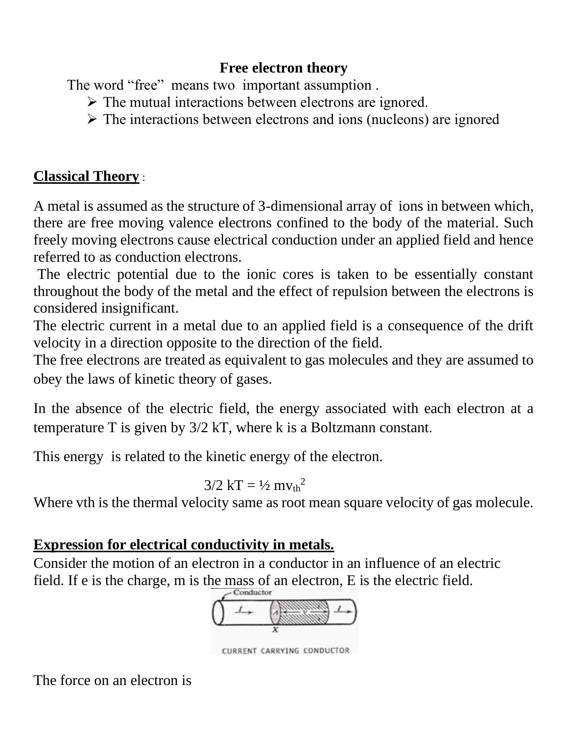# **Free electron theory**

The word "free" means two important assumption .

- ➢ The mutual interactions between electrons are ignored.
- $\triangleright$  The interactions between electrons and ions (nucleons) are ignored

# **Classical Theory** :

A metal is assumed as the structure of 3-dimensional array of ions in between which, there are free moving valence electrons confined to the body of the material. Such freely moving electrons cause electrical conduction under an applied field and hence referred to as conduction electrons.

The electric potential due to the ionic cores is taken to be essentially constant throughout the body of the metal and the effect of repulsion between the electrons is considered insignificant.

The electric current in a metal due to an applied field is a consequence of the drift velocity in a direction opposite to the direction of the field.

The free electrons are treated as equivalent to gas molecules and they are assumed to obey the laws of kinetic theory of gases.

In the absence of the electric field, the energy associated with each electron at a temperature T is given by 3/2 kT, where k is a Boltzmann constant.

This energy is related to the kinetic energy of the electron.

$$
3/2 \text{ kT} = \frac{1}{2} \text{ m}v_{\text{th}}^2
$$

Where vth is the thermal velocity same as root mean square velocity of gas molecule.

# **Expression for electrical conductivity in metals.**

Consider the motion of an electron in a conductor in an influence of an electric field. If e is the charge, m is the mass of an electron, E is the electric field.



CURRENT CARRYING CONDUCTOR

The force on an electron is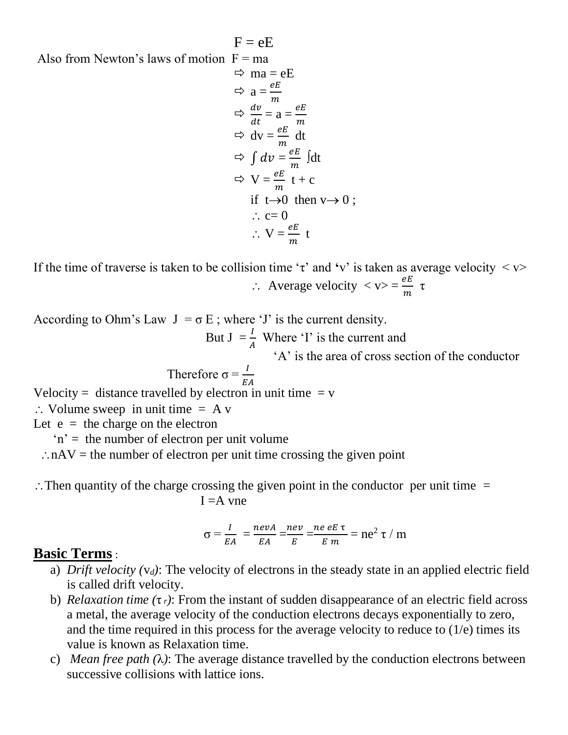Also from Newton's laws of motion  $F = ma$ 

$$
\Rightarrow \text{ ma} = eE
$$
  
\n
$$
\Rightarrow \text{ a} = \frac{eE}{m}
$$
  
\n
$$
\Rightarrow \frac{dv}{dt} = a = \frac{eE}{m}
$$
  
\n
$$
\Rightarrow dv = \frac{eE}{m} dt
$$
  
\n
$$
\Rightarrow \int dv = \frac{eE}{m} \text{ [dt]}
$$
  
\n
$$
\Rightarrow \text{ V} = \frac{eE}{m} t + c
$$
  
\nif t \rightarrow 0 \text{ then } v \rightarrow 0;  
\n
$$
\therefore c = 0
$$
  
\n
$$
\therefore \text{ V} = \frac{eE}{m} t
$$

 $F = eE$ 

If the time of traverse is taken to be collision time ' $\tau$ ' and 'v' is taken as average velocity  $\langle v \rangle$  $\therefore$  Average velocity  $\langle v \rangle = \frac{eE}{m} \tau$ 

According to Ohm's Law  $J = \sigma E$ ; where 'J' is the current density.

But  $J = \frac{I}{A}$  Where 'I' is the current and

'A' is the area of cross section of the conductor

Therefore 
$$
\sigma = \frac{I}{EA}
$$

Velocity = distance travelled by electron in unit time  $= v$ 

 $\therefore$  Volume sweep in unit time = A v

Let  $e =$  the charge on the electron

 $'n' =$  the number of electron per unit volume

 $\therefore$  nAV = the number of electron per unit time crossing the given point

 $\therefore$  Then quantity of the charge crossing the given point in the conductor per unit time  $=$  $I = A$  vne

$$
\sigma = \frac{I}{EA} = \frac{nevA}{EA} = \frac{nev}{E} = \frac{neeE\tau}{E m} = ne^2 \tau / m
$$

### **Basic Terms** :

- a) *Drift velocity (*v*d)*: The velocity of electrons in the steady state in an applied electric field is called drift velocity.
- b) *Relaxation time (*τ *<sup>r</sup>)*: From the instant of sudden disappearance of an electric field across a metal, the average velocity of the conduction electrons decays exponentially to zero, and the time required in this process for the average velocity to reduce to (1/e) times its value is known as Relaxation time.
- c) *Mean free path (*λ*)*: The average distance travelled by the conduction electrons between successive collisions with lattice ions.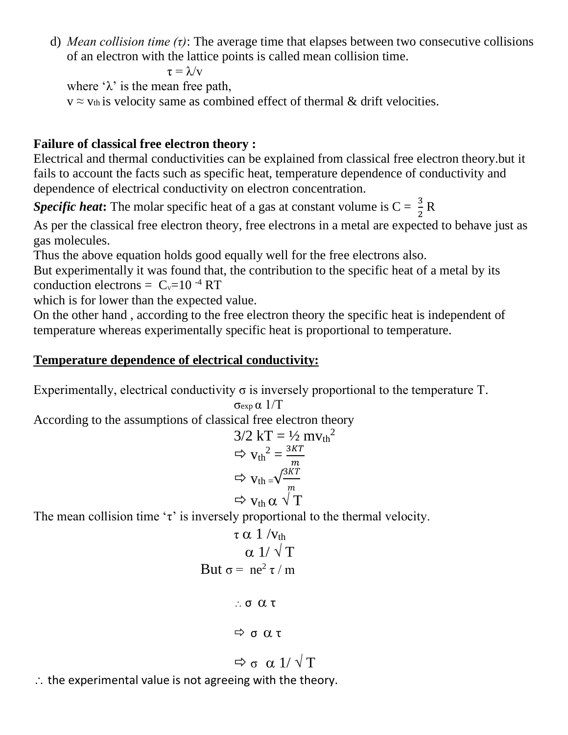d) *Mean collision time (τ)*: The average time that elapses between two consecutive collisions of an electron with the lattice points is called mean collision time.

$$
\tau = \lambda / \mathrm{v}
$$

where ' $\lambda$ ' is the mean free path,

 $v \approx v_{th}$  is velocity same as combined effect of thermal & drift velocities.

#### **Failure of classical free electron theory :**

Electrical and thermal conductivities can be explained from classical free electron theory.but it fails to account the facts such as specific heat, temperature dependence of conductivity and dependence of electrical conductivity on electron concentration.

**Specific heat:** The molar specific heat of a gas at constant volume is  $C = \frac{3}{2}R$ 

As per the classical free electron theory, free electrons in a metal are expected to behave just as gas molecules.

Thus the above equation holds good equally well for the free electrons also.

But experimentally it was found that, the contribution to the specific heat of a metal by its conduction electrons =  $C_v=10^{-4} RT$ 

which is for lower than the expected value.

On the other hand , according to the free electron theory the specific heat is independent of temperature whereas experimentally specific heat is proportional to temperature.

#### **Temperature dependence of electrical conductivity:**

Experimentally, electrical conductivity  $\sigma$  is inversely proportional to the temperature T. σexp α 1/T

According to the assumptions of classical free electron theory  
\n
$$
3/2 kT = \frac{1}{2} m v_{th}^{2}
$$
\n
$$
\Rightarrow v_{th}^{2} = \frac{3KT}{m}
$$
\n
$$
\Rightarrow v_{th} = \sqrt{\frac{3KT}{m}}
$$
\n
$$
\Rightarrow v_{th} \propto \sqrt{T}
$$

The mean collision time ' $\tau$ ' is inversely proportional to the thermal velocity.

$$
\tau \alpha \frac{1}{v_{th}}
$$
  
\n
$$
\alpha \frac{1}{\sqrt{T}}
$$
  
\nBut  $\sigma = ne^2 \tau / m$   
\n
$$
\therefore \sigma \alpha \tau
$$
  
\n
$$
\Rightarrow \sigma \alpha \tau
$$
  
\n
$$
\Rightarrow \sigma \alpha \frac{1}{\sqrt{T}}
$$

 $\therefore$  the experimental value is not agreeing with the theory.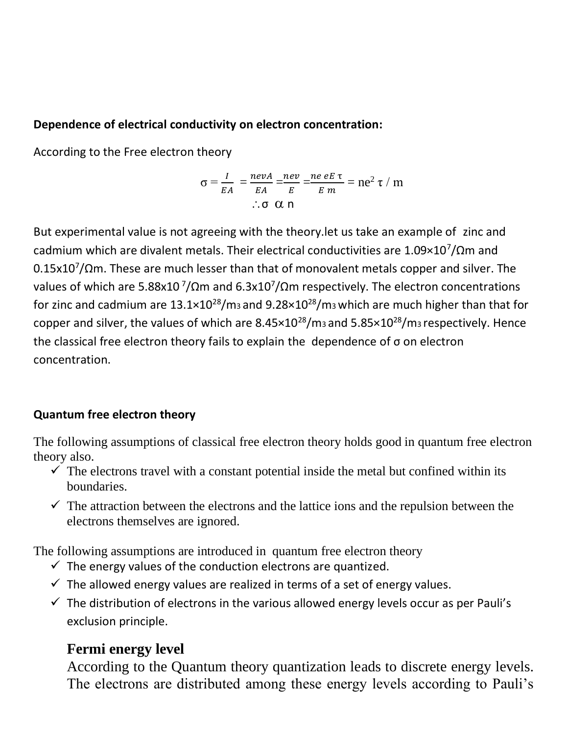#### **Dependence of electrical conductivity on electron concentration:**

According to the Free electron theory

$$
\sigma = \frac{I}{EA} = \frac{nevA}{EA} = \frac{nev}{E} = \frac{neeE\tau}{E m} = ne^2 \tau / m
$$
  
:.  $\sigma \alpha n$ 

But experimental value is not agreeing with the theory.let us take an example of zinc and cadmium which are divalent metals. Their electrical conductivities are  $1.09\times10^7/\Omega$ m and  $0.15$ x10<sup>7</sup>/ $\Omega$ m. These are much lesser than that of monovalent metals copper and silver. The values of which are 5.88x10<sup>7</sup>/Ωm and 6.3x10<sup>7</sup>/Ωm respectively. The electron concentrations for zinc and cadmium are  $13.1\times10^{28}/\text{m}$  and  $9.28\times10^{28}/\text{m}$  which are much higher than that for copper and silver, the values of which are  $8.45 \times 10^{28}$ /m<sub>3</sub> and  $5.85 \times 10^{28}$ /m<sub>3</sub> respectively. Hence the classical free electron theory fails to explain the dependence of σ on electron concentration.

### **Quantum free electron theory**

The following assumptions of classical free electron theory holds good in quantum free electron theory also.

- $\checkmark$  The electrons travel with a constant potential inside the metal but confined within its boundaries.
- $\checkmark$  The attraction between the electrons and the lattice ions and the repulsion between the electrons themselves are ignored.

The following assumptions are introduced in quantum free electron theory

- $\checkmark$  The energy values of the conduction electrons are quantized.
- $\checkmark$  The allowed energy values are realized in terms of a set of energy values.
- $\checkmark$  The distribution of electrons in the various allowed energy levels occur as per Pauli's exclusion principle.

# **Fermi energy level**

According to the Quantum theory quantization leads to discrete energy levels. The electrons are distributed among these energy levels according to Pauli's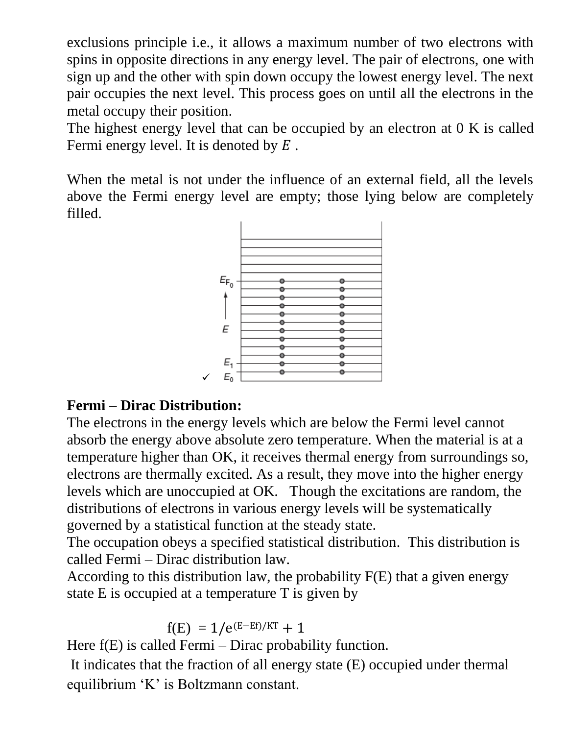exclusions principle i.e., it allows a maximum number of two electrons with spins in opposite directions in any energy level. The pair of electrons, one with sign up and the other with spin down occupy the lowest energy level. The next pair occupies the next level. This process goes on until all the electrons in the metal occupy their position.

The highest energy level that can be occupied by an electron at 0 K is called Fermi energy level. It is denoted by  $E$ .

When the metal is not under the influence of an external field, all the levels above the Fermi energy level are empty; those lying below are completely filled.



## **Fermi – Dirac Distribution:**

✓

The electrons in the energy levels which are below the Fermi level cannot absorb the energy above absolute zero temperature. When the material is at a temperature higher than OK, it receives thermal energy from surroundings so, electrons are thermally excited. As a result, they move into the higher energy levels which are unoccupied at OK. Though the excitations are random, the distributions of electrons in various energy levels will be systematically governed by a statistical function at the steady state.

The occupation obeys a specified statistical distribution. This distribution is called Fermi – Dirac distribution law.

According to this distribution law, the probability F(E) that a given energy state E is occupied at a temperature T is given by

$$
f(E) = 1/e^{(E-Ef)/KT} + 1
$$

Here  $f(E)$  is called Fermi – Dirac probability function.

It indicates that the fraction of all energy state (E) occupied under thermal equilibrium 'K' is Boltzmann constant.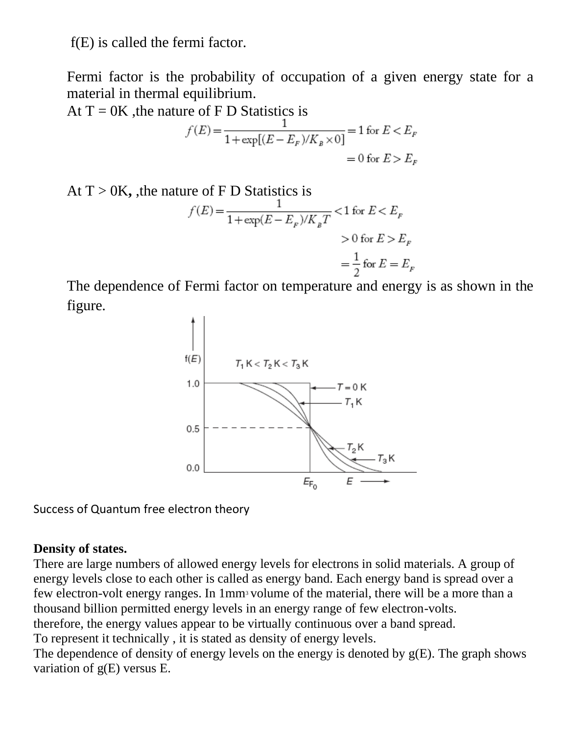f(E) is called the fermi factor.

Fermi factor is the probability of occupation of a given energy state for a material in thermal equilibrium.

At  $T = 0K$ , the nature of F D Statistics is

$$
f(E) = \frac{1}{1 + \exp[(E - E_F)/K_B \times 0]} = 1 \text{ for } E < E_F
$$

$$
= 0 \text{ for } E > E_F
$$

At T > 0K, the nature of F D Statistics is  
\n
$$
f(E) = \frac{1}{1 + \exp(E - E_F)/K_B T} < 1 \text{ for } E < E_F
$$
\n
$$
> 0 \text{ for } E > E_F
$$
\n
$$
= \frac{1}{2} \text{ for } E = E_F
$$

The dependence of Fermi factor on temperature and energy is as shown in the figure.



Success of Quantum free electron theory

### **Density of states.**

There are large numbers of allowed energy levels for electrons in solid materials. A group of energy levels close to each other is called as energy band. Each energy band is spread over a few electron-volt energy ranges. In 1mm<sup>3</sup> volume of the material, there will be a more than a thousand billion permitted energy levels in an energy range of few electron-volts.

therefore, the energy values appear to be virtually continuous over a band spread.

To represent it technically , it is stated as density of energy levels.

The dependence of density of energy levels on the energy is denoted by  $g(E)$ . The graph shows variation of g(E) versus E.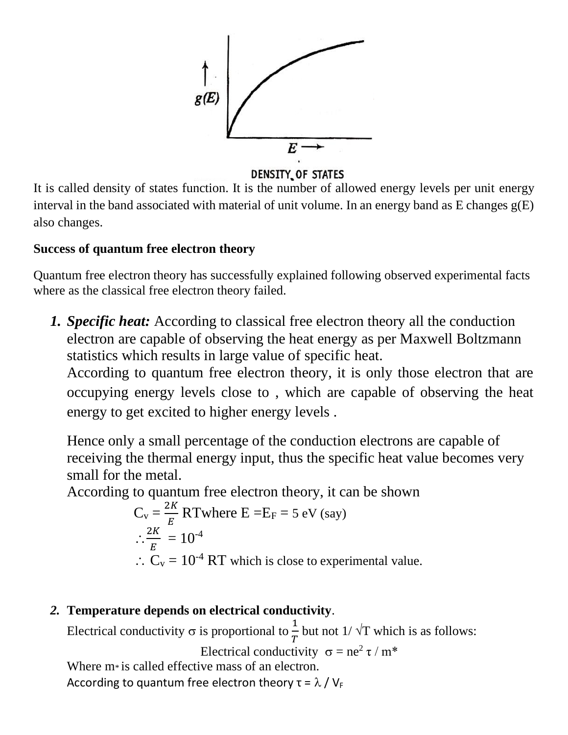

#### DENSITY OF STATES

It is called density of states function. It is the number of allowed energy levels per unit energy interval in the band associated with material of unit volume. In an energy band as E changes g(E) also changes.

### **Success of quantum free electron theory**

Quantum free electron theory has successfully explained following observed experimental facts where as the classical free electron theory failed.

*1. Specific heat:* According to classical free electron theory all the conduction electron are capable of observing the heat energy as per Maxwell Boltzmann statistics which results in large value of specific heat.

According to quantum free electron theory, it is only those electron that are occupying energy levels close to , which are capable of observing the heat energy to get excited to higher energy levels .

Hence only a small percentage of the conduction electrons are capable of receiving the thermal energy input, thus the specific heat value becomes very small for the metal.

According to quantum free electron theory, it can be shown

$$
C_v = \frac{2K}{E}
$$
 RTwhere E = E<sub>F</sub> = 5 eV (say)  

$$
\therefore \frac{2K}{E} = 10^{-4}
$$
  

$$
\therefore C_v = 10^{-4}
$$
 RT which is close to experimental value.

### *2.* **Temperature depends on electrical conductivity**.

Electrical conductivity  $\sigma$  is proportional to  $\frac{1}{T}$  but not  $1/\sqrt{T}$  which is as follows:

Electrical conductivity  $\sigma = ne^2 \tau / m^*$ Where m<sup>\*</sup> is called effective mass of an electron.

According to quantum free electron theory  $\tau = \lambda / V_F$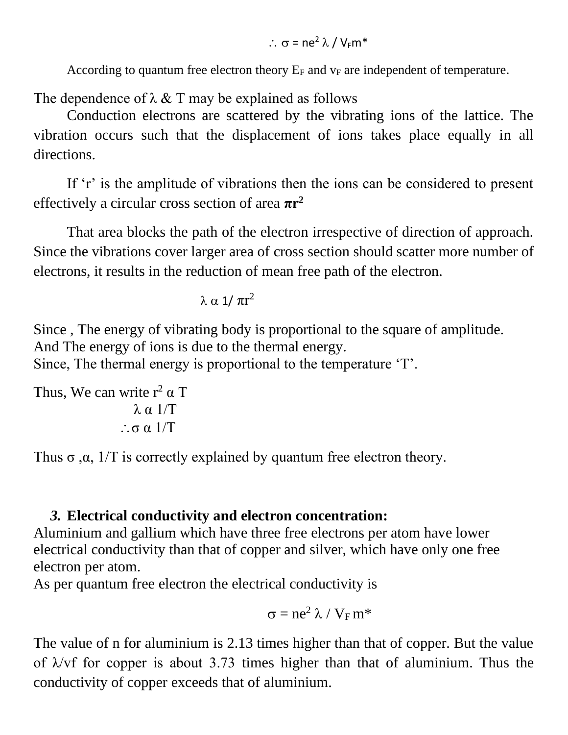$\therefore$   $\sigma$  = ne<sup>2</sup>  $\lambda$  / V<sub>E</sub>m<sup>\*</sup>

According to quantum free electron theory  $E_F$  and  $v_F$  are independent of temperature.

The dependence of  $\lambda \& T$  may be explained as follows

Conduction electrons are scattered by the vibrating ions of the lattice. The vibration occurs such that the displacement of ions takes place equally in all directions.

If 'r' is the amplitude of vibrations then the ions can be considered to present effectively a circular cross section of area **πr<sup>2</sup>**

That area blocks the path of the electron irrespective of direction of approach. Since the vibrations cover larger area of cross section should scatter more number of electrons, it results in the reduction of mean free path of the electron.

$$
\lambda \propto 1/\pi r^2
$$

Since , The energy of vibrating body is proportional to the square of amplitude. And The energy of ions is due to the thermal energy.

Since, The thermal energy is proportional to the temperature 'T'.

```
Thus, We can write r^2 \alpha Tλ_0 1/T σ α 1/T
```
Thus  $\sigma$ ,  $\alpha$ , 1/T is correctly explained by quantum free electron theory.

### *3.* **Electrical conductivity and electron concentration:**

Aluminium and gallium which have three free electrons per atom have lower electrical conductivity than that of copper and silver, which have only one free electron per atom.

As per quantum free electron the electrical conductivity is

$$
\sigma = ne^2 \lambda / V_F m^*
$$

The value of n for aluminium is 2.13 times higher than that of copper. But the value of  $\lambda$ /vf for copper is about 3.73 times higher than that of aluminium. Thus the conductivity of copper exceeds that of aluminium.